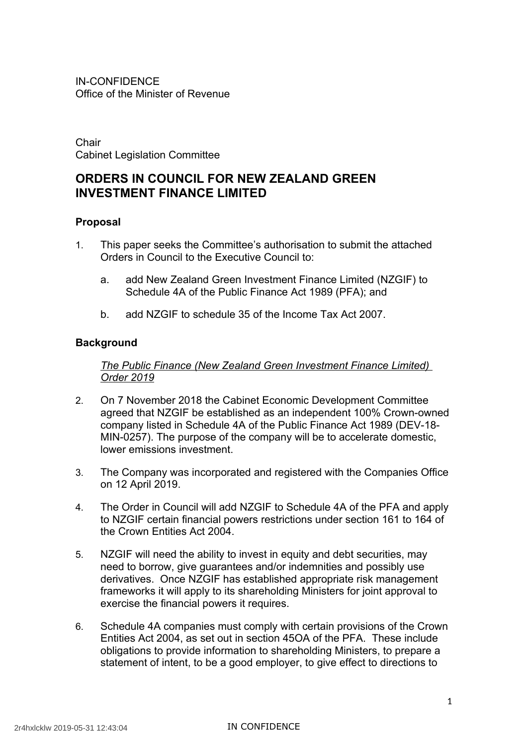Office of the Minister of Revenue IN-CONFIDENCE

 Cabinet Legislation Committee Chair

# **ORDERS IN COUNCIL FOR NEW ZEALAND GREEN INVESTMENT FINANCE LIMITED**

### **Proposal**

- 1. This paper seeks the Committee's authorisation to submit the attached Orders in Council to the Executive Council to:
	- a. add New Zealand Green Investment Finance Limited (NZGIF) to Schedule 4A of the Public Finance Act 1989 (PFA); and
	- b. add NZGIF to schedule 35 of the Income Tax Act 2007.

### **Background**

 *The Public Finance (New Zealand Green Investment Finance Limited) Order 2019* 

- 2. On 7 November 2018 the Cabinet Economic Development Committee agreed that NZGIF be established as an independent 100% Crown-owned company listed in Schedule 4A of the Public Finance Act 1989 (DEV-18- MIN-0257). The purpose of the company will be to accelerate domestic, lower emissions investment.
- 3. The Company was incorporated and registered with the Companies Office on 12 April 2019.
- 4. The Order in Council will add NZGIF to Schedule 4A of the PFA and apply to NZGIF certain financial powers restrictions under section 161 to 164 of the Crown Entities Act 2004.
- 5. NZGIF will need the ability to invest in equity and debt securities, may need to borrow, give guarantees and/or indemnities and possibly use derivatives. Once NZGIF has established appropriate risk management frameworks it will apply to its shareholding Ministers for joint approval to exercise the financial powers it requires.
- 6. Schedule 4A companies must comply with certain provisions of the Crown Entities Act 2004, as set out in section 45OA of the PFA. These include obligations to provide information to shareholding Ministers, to prepare a statement of intent, to be a good employer, to give effect to directions to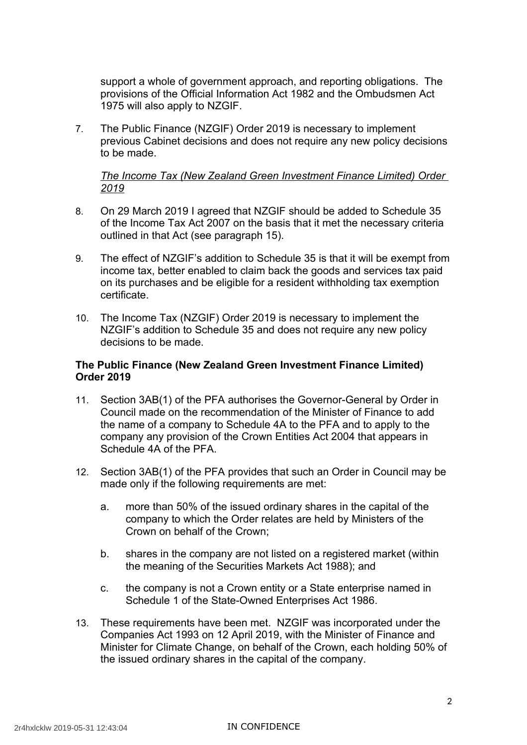support a whole of government approach, and reporting obligations. The provisions of the Official Information Act 1982 and the Ombudsmen Act 1975 will also apply to NZGIF.

 7. The Public Finance (NZGIF) Order 2019 is necessary to implement previous Cabinet decisions and does not require any new policy decisions to be made.

## **The Income Tax (New Zealand Green Investment Finance Limited) Order** *2019*

- 8. On 29 March 2019 I agreed that NZGIF should be added to Schedule 35 of the Income Tax Act 2007 on the basis that it met the necessary criteria outlined in that Act (see paragraph 15).
- 9. The effect of NZGIF's addition to Schedule 35 is that it will be exempt from income tax, better enabled to claim back the goods and services tax paid on its purchases and be eligible for a resident withholding tax exemption certificate.
- certificate. 10. The Income Tax (NZGIF) Order 2019 is necessary to implement the NZGIF's addition to Schedule 35 and does not require any new policy decisions to be made.

## **The Public Finance (New Zealand Green Investment Finance Limited) Order 2019**

- 11. Section 3AB(1) of the PFA authorises the Governor-General by Order in Council made on the recommendation of the Minister of Finance to add the name of a company to Schedule 4A to the PFA and to apply to the company any provision of the Crown Entities Act 2004 that appears in Schedule 4A of the PFA.
- 12. Section 3AB(1) of the PFA provides that such an Order in Council may be made only if the following requirements are met:
	- a. more than 50% of the issued ordinary shares in the capital of the company to which the Order relates are held by Ministers of the Crown on behalf of the Crown;
	- b. shares in the company are not listed on a registered market (within the meaning of the Securities Markets Act 1988); and
	- c. the company is not a Crown entity or a State enterprise named in Schedule 1 of the State-Owned Enterprises Act 1986.
- 13. These requirements have been met. NZGIF was incorporated under the Companies Act 1993 on 12 April 2019, with the Minister of Finance and Minister for Climate Change, on behalf of the Crown, each holding 50% of the issued ordinary shares in the capital of the company.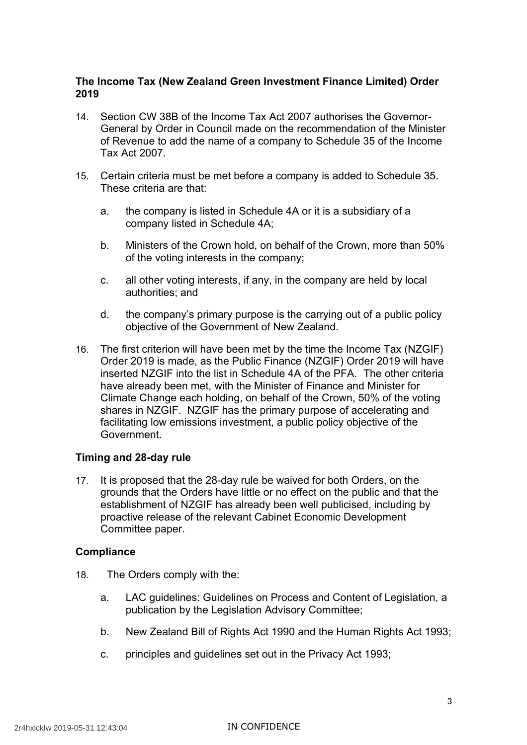# **The Income Tax (New Zealand Green Investment Finance Limited) Order 2019**

- 14. Section CW 38B of the Income Tax Act 2007 authorises the Governor- General by Order in Council made on the recommendation of the Minister of Revenue to add the name of a company to Schedule 35 of the Income Tax Act 2007.
- 15. Certain criteria must be met before a company is added to Schedule 35. These criteria are that:
	- a. the company is listed in Schedule 4A or it is a subsidiary of a company listed in Schedule 4A;
	- b. Ministers of the Crown hold, on behalf of the Crown, more than 50% of the voting interests in the company;
	- c. all other voting interests, if any, in the company are held by local authorities; and
	- d. the company's primary purpose is the carrying out of a public policy objective of the Government of New Zealand.
- 16. The first criterion will have been met by the time the Income Tax (NZGIF) Order 2019 is made, as the Public Finance (NZGIF) Order 2019 will have inserted NZGIF into the list in Schedule 4A of the PFA. The other criteria have already been met, with the Minister of Finance and Minister for Climate Change each holding, on behalf of the Crown, 50% of the voting shares in NZGIF. NZGIF has the primary purpose of accelerating and facilitating low emissions investment, a public policy objective of the Government.

# **Timing and 28-day rule**

 17. It is proposed that the 28-day rule be waived for both Orders, on the grounds that the Orders have little or no effect on the public and that the establishment of NZGIF has already been well publicised, including by proactive release of the relevant Cabinet Economic Development Committee paper.

# **Compliance**

- 18. The Orders comply with the:
	- a. LAC guidelines: Guidelines on Process and Content of Legislation, a publication by the Legislation Advisory Committee;
	- b. New Zealand Bill of Rights Act 1990 and the Human Rights Act 1993;
	- c. principles and guidelines set out in the Privacy Act 1993;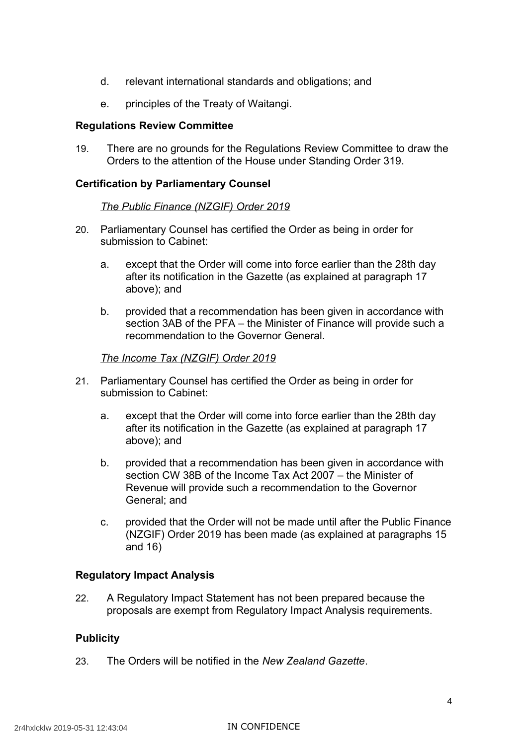- d. relevant international standards and obligations; and
- e. principles of the Treaty of Waitangi.

#### **Regulations Review Committee**

 19. There are no grounds for the Regulations Review Committee to draw the Orders to the attention of the House under Standing Order 319.

### **Certification by Parliamentary Counsel**

#### *The Public Finance (NZGIF) Order 2019*

- 20. Parliamentary Counsel has certified the Order as being in order for submission to Cabinet:
	- a. except that the Order will come into force earlier than the 28th day after its notification in the Gazette (as explained at paragraph 17 above); and
	- b. provided that a recommendation has been given in accordance with section 3AB of the PFA – the Minister of Finance will provide such a recommendation to the Governor General.

#### *The Income Tax (NZGIF) Order 2019*

- 21. Parliamentary Counsel has certified the Order as being in order for submission to Cabinet:
	- a. except that the Order will come into force earlier than the 28th day after its notification in the Gazette (as explained at paragraph 17 above); and
	- b. provided that a recommendation has been given in accordance with section CW 38B of the Income Tax Act 2007 – the Minister of Revenue will provide such a recommendation to the Governor General; and
	- c. provided that the Order will not be made until after the Public Finance (NZGIF) Order 2019 has been made (as explained at paragraphs 15 and 16)

# **Regulatory Impact Analysis**

 22. A Regulatory Impact Statement has not been prepared because the proposals are exempt from Regulatory Impact Analysis requirements.

# **Publicity**

23. The Orders will be notified in the *New Zealand Gazette*.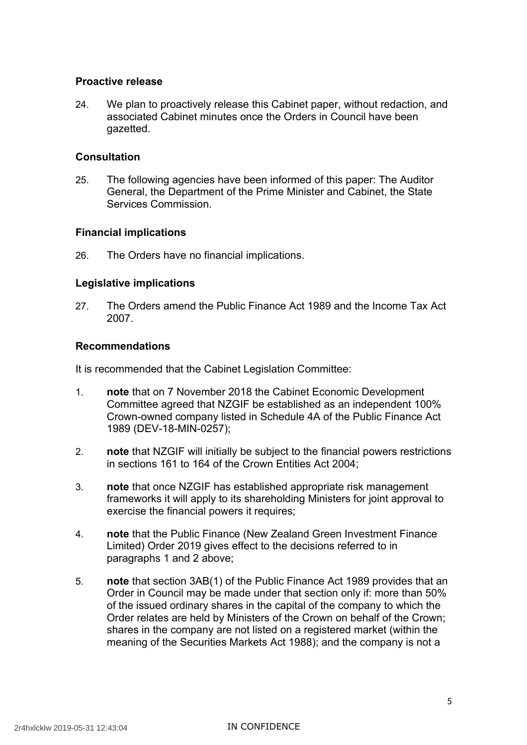## **Proactive release**

 24. We plan to proactively release this Cabinet paper, without redaction, and associated Cabinet minutes once the Orders in Council have been gazetted.

### **Consultation**

 25. The following agencies have been informed of this paper: The Auditor General, the Department of the Prime Minister and Cabinet, the State Services Commission.

### **Financial implications**

26. The Orders have no financial implications.

### **Legislative implications**

 27. The Orders amend the Public Finance Act 1989 and the Income Tax Act 2007.

#### **Recommendations**

It is recommended that the Cabinet Legislation Committee:

- 1. **note** that on 7 November 2018 the Cabinet Economic Development Committee agreed that NZGIF be established as an independent 100% Crown-owned company listed in Schedule 4A of the Public Finance Act 1989 (DEV-18-MIN-0257);
- 2. **note** that NZGIF will initially be subject to the financial powers restrictions in sections 161 to 164 of the Crown Entities Act 2004;
- 3. **note** that once NZGIF has established appropriate risk management frameworks it will apply to its shareholding Ministers for joint approval to exercise the financial powers it requires;
- 4. **note** that the Public Finance (New Zealand Green Investment Finance Limited) Order 2019 gives effect to the decisions referred to in paragraphs 1 and 2 above;
- 5. **note** that section 3AB(1) of the Public Finance Act 1989 provides that an Order in Council may be made under that section only if: more than 50% of the issued ordinary shares in the capital of the company to which the Order relates are held by Ministers of the Crown on behalf of the Crown; shares in the company are not listed on a registered market (within the meaning of the Securities Markets Act 1988); and the company is not a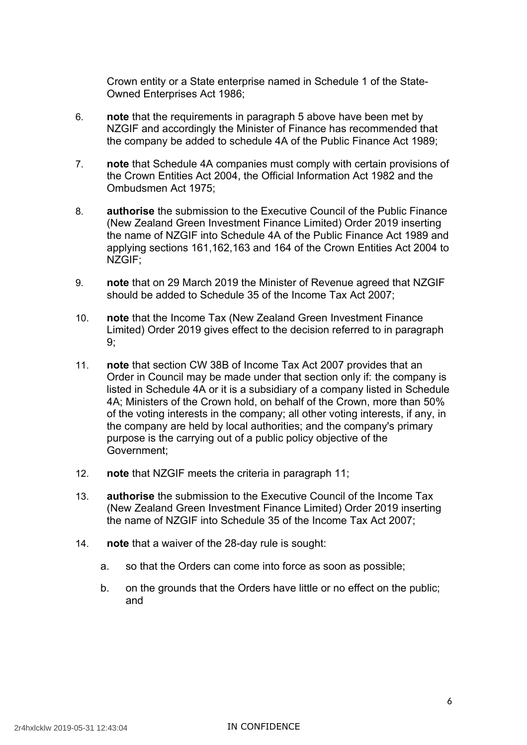Crown entity or a State enterprise named in Schedule 1 of the State-Owned Enterprises Act 1986;

- 6. **note** that the requirements in paragraph 5 above have been met by NZGIF and accordingly the Minister of Finance has recommended that the company be added to schedule 4A of the Public Finance Act 1989;
- 7. **note** that Schedule 4A companies must comply with certain provisions of the Crown Entities Act 2004, the Official Information Act 1982 and the Ombudsmen Act 1975;
- 8. **authorise** the submission to the Executive Council of the Public Finance (New Zealand Green Investment Finance Limited) Order 2019 inserting the name of NZGIF into Schedule 4A of the Public Finance Act 1989 and applying sections 161,162,163 and 164 of the Crown Entities Act 2004 to NZGIF;
- 9. **note** that on 29 March 2019 the Minister of Revenue agreed that NZGIF should be added to Schedule 35 of the Income Tax Act 2007;
- 10. **note** that the Income Tax (New Zealand Green Investment Finance Limited) Order 2019 gives effect to the decision referred to in paragraph 9;
- 11. **note** that section CW 38B of Income Tax Act 2007 provides that an Order in Council may be made under that section only if: the company is listed in Schedule 4A or it is a subsidiary of a company listed in Schedule 4A; Ministers of the Crown hold, on behalf of the Crown, more than 50% of the voting interests in the company; all other voting interests, if any, in the company are held by local authorities; and the company's primary purpose is the carrying out of a public policy objective of the Government;
- 12. **note** that NZGIF meets the criteria in paragraph 11;
- 13. **authorise** the submission to the Executive Council of the Income Tax (New Zealand Green Investment Finance Limited) Order 2019 inserting the name of NZGIF into Schedule 35 of the Income Tax Act 2007;
- 14. **note** that a waiver of the 28-day rule is sought:
	- a. so that the Orders can come into force as soon as possible;
	- b. on the grounds that the Orders have little or no effect on the public; and